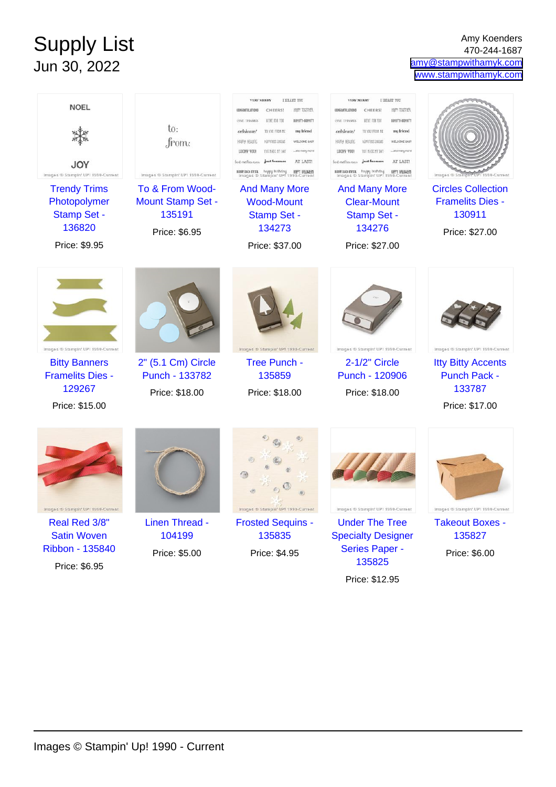## Supply List Jun 30, 2022

Amy Koenders 470-244-1687 [amy@stampwithamyk.com](mailto:amy@stampwithamyk.com) [www.stampwithamyk.com](http://www.stampwithamyk.com)